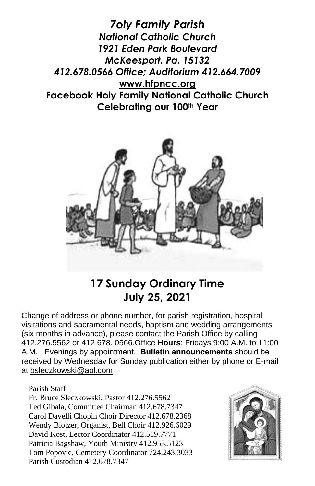*7oly Family Parish National Catholic Church 1921 Eden Park Boulevard McKeesport. Pa. 15132 412.678.0566 Office; Auditorium 412.664.7009* **[www.hfpncc.org](http://www.hfpncc.org/) Facebook Holy Family National Catholic Church Celebrating our 100th Year**



# **17 Sunday Ordinary Time July 25, 2021**

Change of address or phone number, for parish registration, hospital visitations and sacramental needs, baptism and wedding arrangements (six months in advance), please contact the Parish Office by calling 412.276.5562 or 412.678. 0566.Office **Hours**: Fridays 9:00 A.M. to 11:00 A.M. Evenings by appointment. **Bulletin announcements** should be received by Wednesday for Sunday publication either by phone or E-mail at [bsleczkowski@aol.com](mailto:bsleczkowski@aol.com)

Parish Staff:

Fr. Bruce Sleczkowski, Pastor 412.276.5562 Ted Gibala, Committee Chairman 412.678.7347 Carol Davelli Chopin Choir Director 412.678.2368 Wendy Blotzer, Organist, Bell Choir 412.926.6029 David Kost, Lector Coordinator 412.519.7771 Patricia Bagshaw, Youth Ministry 412.953.5123 Tom Popovic, Cemetery Coordinator 724.243.3033 Parish Custodian 412.678.7347

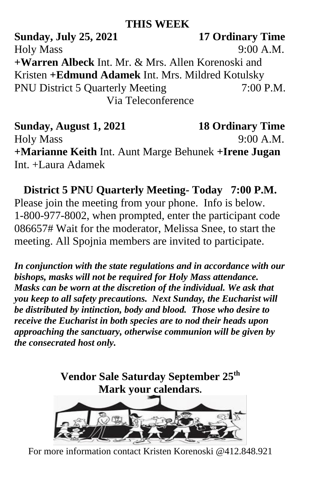## **THIS WEEK**

**Sunday, July 25, 2021 17 Ordinary Time** Holy Mass 9:00 A.M. **+Warren Albeck** Int. Mr. & Mrs. Allen Korenoski and Kristen **+Edmund Adamek** Int. Mrs. Mildred Kotulsky PNU District 5 Quarterly Meeting 7:00 P.M. Via Teleconference

**Sunday, August 1, 2021 18 Ordinary Time** Holy Mass 9:00 A.M. **+Marianne Keith** Int. Aunt Marge Behunek **+Irene Jugan** Int. +Laura Adamek

**District 5 PNU Quarterly Meeting- Today 7:00 P.M.** Please join the meeting from your phone. Info is below. 1-800-977-8002, when prompted, enter the participant code 086657# Wait for the moderator, Melissa Snee, to start the meeting. All Spojnia members are invited to participate.

*In conjunction with the state regulations and in accordance with our bishops, masks will not be required for Holy Mass attendance. Masks can be worn at the discretion of the individual. We ask that you keep to all safety precautions. Next Sunday, the Eucharist will be distributed by intinction, body and blood. Those who desire to receive the Eucharist in both species are to nod their heads upon approaching the sanctuary, otherwise communion will be given by the consecrated host only.*



For more information contact Kristen Korenoski @412.848.921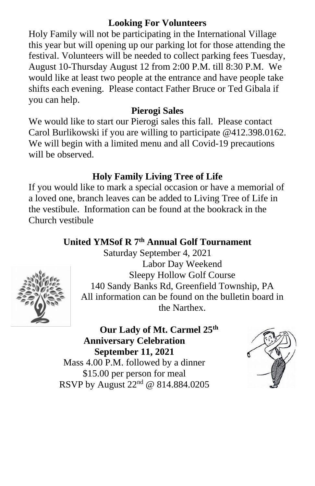#### **Looking For Volunteers**

Holy Family will not be participating in the International Village this year but will opening up our parking lot for those attending the festival. Volunteers will be needed to collect parking fees Tuesday, August 10-Thursday August 12 from 2:00 P.M. till 8:30 P.M. We would like at least two people at the entrance and have people take shifts each evening. Please contact Father Bruce or Ted Gibala if you can help.

#### **Pierogi Sales**

We would like to start our Pierogi sales this fall. Please contact Carol Burlikowski if you are willing to participate @412.398.0162. We will begin with a limited menu and all Covid-19 precautions will be observed.

### **Holy Family Living Tree of Life**

If you would like to mark a special occasion or have a memorial of a loved one, branch leaves can be added to Living Tree of Life in the vestibule. Information can be found at the bookrack in the Church vestibule

## **United YMSof R 7th Annual Golf Tournament**



Saturday September 4, 2021 Labor Day Weekend Sleepy Hollow Golf Course 140 Sandy Banks Rd, Greenfield Township, PA All information can be found on the bulletin board in the Narthex.

**Our Lady of Mt. Carmel 25th Anniversary Celebration September 11, 2021** Mass 4.00 P.M. followed by a dinner \$15.00 per person for meal RSVP by August 22nd @ 814.884.0205